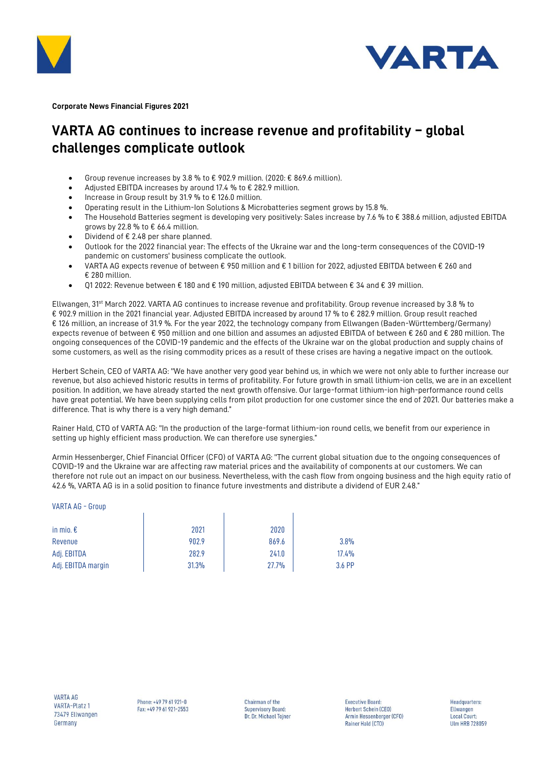



**Corporate News Financial Figures 2021**

# **VARTA AG continues to increase revenue and profitability – global challenges complicate outlook**

- Group revenue increases by 3.8 % to  $\epsilon$  902.9 million. (2020:  $\epsilon$  869.6 million).
- Adjusted EBITDA increases by around 17.4 % to € 282.9 million.
- Increase in Group result by 31.9 % to € 126.0 million.
- Operating result in the Lithium-Ion Solutions & Microbatteries segment grows by 15.8 %.
- The Household Batteries segment is developing very positively: Sales increase by 7.6 % to € 388.6 million, adjusted EBITDA grows by 22.8 % to  $\epsilon$  66.4 million.
- Dividend of  $\epsilon$  2.48 per share planned.
- Outlook for the 2022 financial year: The effects of the Ukraine war and the long-term consequences of the COVID-19 pandemic on customers' business complicate the outlook.
- VARTA AG expects revenue of between € 950 million and € 1 billion for 2022, adjusted EBITDA between € 260 and € 280 million.
- Q1 2022: Revenue between € 180 and € 190 million, adjusted EBITDA between € 34 and € 39 million.

Ellwangen, 31<sup>st</sup> March 2022. VARTA AG continues to increase revenue and profitability. Group revenue increased by 3.8 % to € 902.9 million in the 2021 financial year. Adjusted EBITDA increased by around 17 % to € 282.9 million. Group result reached € 126 million, an increase of 31.9 %. For the year 2022, the technology company from Ellwangen (Baden-Württemberg/Germany) expects revenue of between € 950 million and one billion and assumes an adjusted EBITDA of between € 260 and € 280 million. The ongoing consequences of the COVID-19 pandemic and the effects of the Ukraine war on the global production and supply chains of some customers, as well as the rising commodity prices as a result of these crises are having a negative impact on the outlook.

Herbert Schein, CEO of VARTA AG: "We have another very good year behind us, in which we were not only able to further increase our revenue, but also achieved historic results in terms of profitability. For future growth in small lithium-ion cells, we are in an excellent position. In addition, we have already started the next growth offensive. Our large-format lithium-ion high-performance round cells have great potential. We have been supplying cells from pilot production for one customer since the end of 2021. Our batteries make a difference. That is why there is a very high demand."

Rainer Hald, CTO of VARTA AG: "In the production of the large-format lithium-ion round cells, we benefit from our experience in setting up highly efficient mass production. We can therefore use synergies."

Armin Hessenberger, Chief Financial Officer (CFO) of VARTA AG: "The current global situation due to the ongoing consequences of COVID-19 and the Ukraine war are affecting raw material prices and the availability of components at our customers. We can therefore not rule out an impact on our business. Nevertheless, with the cash flow from ongoing business and the high equity ratio of 42.6 %, VARTA AG is in a solid position to finance future investments and distribute a dividend of EUR 2.48."

## VARTA AG - Group

| in mio. $\epsilon$ | 2021  | 2020  |        |
|--------------------|-------|-------|--------|
| Revenue            | 902.9 | 869.6 | 3.8%   |
| Adj. EBITDA        | 282.9 | 241.0 | 17.4%  |
| Adj. EBITDA margin | 31.3% | 27.7% | 3.6 PP |

Chairman of the **Supervisory Board:** Dr. Dr. Michael Toiner

**Executive Board:** Herbert Schein (CEO) Armin Hessenberger (CFO) Rainer Hald (CTO)

Headquarters: Ellwangen **Local Court: Ulm HRB 728059**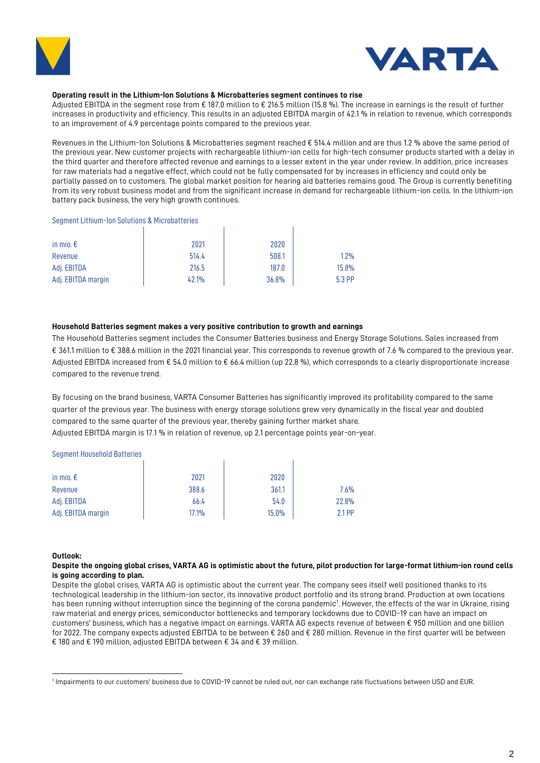



# **Operating result in the Lithium-Ion Solutions & Microbatteries segment continues to rise**

Adjusted EBITDA in the segment rose from € 187.0 million to € 216.5 million (15.8 %). The increase in earnings is the result of further increases in productivity and efficiency. This results in an adjusted EBITDA margin of 42.1 % in relation to revenue, which corresponds to an improvement of 4.9 percentage points compared to the previous year.

Revenues in the Lithium-Ion Solutions & Microbatteries segment reached € 514.4 million and are thus 1.2 % above the same period of the previous year. New customer projects with rechargeable lithium-ion cells for high-tech consumer products started with a delay in the third quarter and therefore affected revenue and earnings to a lesser extent in the year under review. In addition, price increases for raw materials had a negative effect, which could not be fully compensated for by increases in efficiency and could only be partially passed on to customers. The global market position for hearing aid batteries remains good. The Group is currently benefiting from its very robust business model and from the significant increase in demand for rechargeable lithium-ion cells. In the lithium-ion battery pack business, the very high growth continues.

#### Segment Lithium-Ion Solutions & Microbatteries

| in mio. $\epsilon$ | 2021  | 2020  |        |
|--------------------|-------|-------|--------|
| Revenue            | 514.4 | 508.1 | 1.2%   |
| Adj. EBITDA        | 216.5 | 187.0 | 15.8%  |
| Adj. EBITDA margin | 42.1% | 36.8% | 5.3 PP |

## **Household Batteries segment makes a very positive contribution to growth and earnings**

The Household Batteries segment includes the Consumer Batteries business and Energy Storage Solutions. Sales increased from € 361.1 million to € 388.6 million in the 2021 financial year. This corresponds to revenue growth of 7.6 % compared to the previous year. Adjusted EBITDA increased from € 54.0 million to € 66.4 million (up 22.8 %), which corresponds to a clearly disproportionate increase compared to the revenue trend.

By focusing on the brand business, VARTA Consumer Batteries has significantly improved its profitability compared to the same quarter of the previous year. The business with energy storage solutions grew very dynamically in the fiscal year and doubled compared to the same quarter of the previous year, thereby gaining further market share.

Adjusted EBITDA margin is 17.1 % in relation of revenue, up 2.1 percentage points year-on-year.

 $\sim 10^{10}$ 

Segment Household Batteries

| in mio. $\epsilon$ | 2021  | 2020  |        |
|--------------------|-------|-------|--------|
| Revenue            | 388.6 | 361.1 | 7.6%   |
| Adj. EBITDA        | 66.4  | 54.0  | 22.8%  |
| Adj. EBITDA margin | 17.1% | 15.0% | 2.1 PP |

#### **Outlook:**

## **Despite the ongoing global crises, VARTA AG is optimistic about the future, pilot production for large-format lithium-ion round cells is going according to plan.**

Despite the global crises, VARTA AG is optimistic about the current year. The company sees itself well positioned thanks to its technological leadership in the lithium-ion sector, its innovative product portfolio and its strong brand. Production at own locations has been running without interruption since the beginning of the corona pandemic<sup>1</sup>. However, the effects of the war in Ukraine, rising raw material and energy prices, semiconductor bottlenecks and temporary lockdowns due to COVID-19 can have an impact on customers' business, which has a negative impact on earnings. VARTA AG expects revenue of between € 950 million and one billion for 2022. The company expects adjusted EBITDA to be between € 260 and € 280 million. Revenue in the first quarter will be between € 180 and € 190 million, adjusted EBITDA between € 34 and € 39 million.

<sup>1</sup> Impairments to our customers' business due to COVID-19 cannot be ruled out, nor can exchange rate fluctuations between USD and EUR.